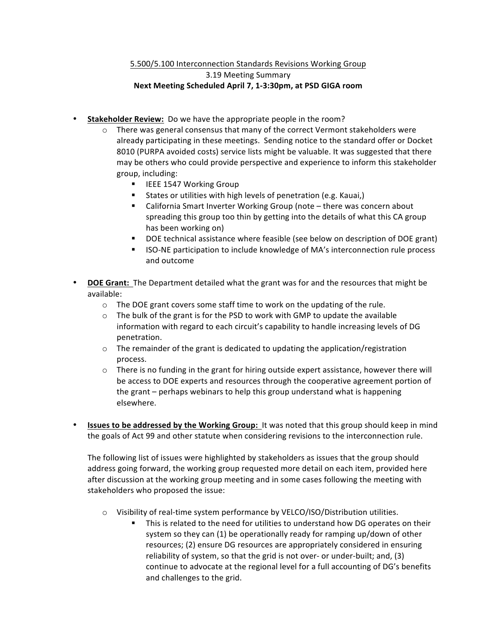## 5.500/5.100 Interconnection Standards Revisions Working Group 3.19 Meeting Summary Next Meeting Scheduled April 7, 1-3:30pm, at PSD GIGA room

- Stakeholder Review: Do we have the appropriate people in the room?
	- $\circ$  There was general consensus that many of the correct Vermont stakeholders were already participating in these meetings. Sending notice to the standard offer or Docket 8010 (PURPA avoided costs) service lists might be valuable. It was suggested that there may be others who could provide perspective and experience to inform this stakeholder group, including:
		- **EXECUTE:** 1547 Working Group
		- States or utilities with high levels of penetration (e.g. Kauai,)
		- California Smart Inverter Working Group (note there was concern about spreading this group too thin by getting into the details of what this CA group has been working on)
		- " DOE technical assistance where feasible (see below on description of DOE grant)
		- " ISO-NE participation to include knowledge of MA's interconnection rule process and outcome
- **DOE Grant:** The Department detailed what the grant was for and the resources that might be available:
	- $\circ$  The DOE grant covers some staff time to work on the updating of the rule.
	- $\circ$  The bulk of the grant is for the PSD to work with GMP to update the available information with regard to each circuit's capability to handle increasing levels of DG penetration.
	- $\circ$  The remainder of the grant is dedicated to updating the application/registration process.
	- $\circ$  There is no funding in the grant for hiring outside expert assistance, however there will be access to DOE experts and resources through the cooperative agreement portion of the grant – perhaps webinars to help this group understand what is happening elsewhere.
- **Issues to be addressed by the Working Group:** It was noted that this group should keep in mind the goals of Act 99 and other statute when considering revisions to the interconnection rule.

The following list of issues were highlighted by stakeholders as issues that the group should address going forward, the working group requested more detail on each item, provided here after discussion at the working group meeting and in some cases following the meeting with stakeholders who proposed the issue:

- $\circ$  Visibility of real-time system performance by VELCO/ISO/Distribution utilities.
	- This is related to the need for utilities to understand how DG operates on their system so they can (1) be operationally ready for ramping up/down of other resources; (2) ensure DG resources are appropriately considered in ensuring reliability of system, so that the grid is not over- or under-built; and, (3) continue to advocate at the regional level for a full accounting of DG's benefits and challenges to the grid.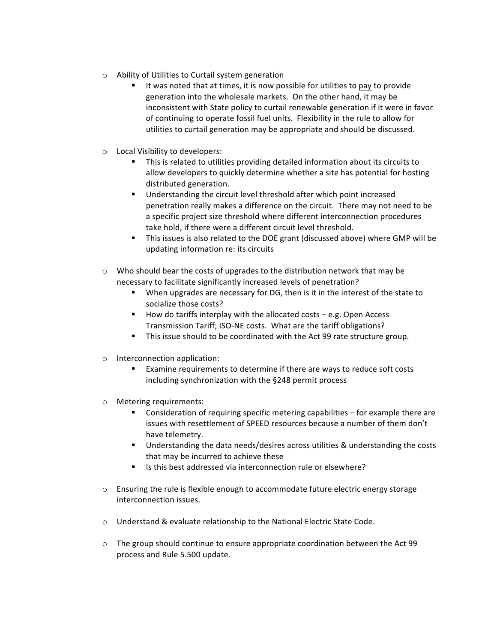- $\circ$  Ability of Utilities to Curtail system generation
	- It was noted that at times, it is now possible for utilities to pay to provide generation into the wholesale markets. On the other hand, it may be inconsistent with State policy to curtail renewable generation if it were in favor of continuing to operate fossil fuel units. Flexibility in the rule to allow for utilities to curtail generation may be appropriate and should be discussed.
- o Local Visibility to developers:
	- This is related to utilities providing detailed information about its circuits to allow developers to quickly determine whether a site has potential for hosting distributed generation.
	- Understanding the circuit level threshold after which point increased penetration really makes a difference on the circuit. There may not need to be a specific project size threshold where different interconnection procedures take hold, if there were a different circuit level threshold.
	- This issues is also related to the DOE grant (discussed above) where GMP will be updating information re: its circuits
- $\circ$  Who should bear the costs of upgrades to the distribution network that may be necessary to facilitate significantly increased levels of penetration?
	- **.** When upgrades are necessary for DG, then is it in the interest of the state to socialize those costs?
	- $\blacksquare$  How do tariffs interplay with the allocated costs  $-$  e.g. Open Access Transmission Tariff; ISO-NE costs. What are the tariff obligations?
	- " This issue should to be coordinated with the Act 99 rate structure group.
- $\circ$  Interconnection application:
	- Examine requirements to determine if there are ways to reduce soft costs including synchronization with the §248 permit process
- o Metering requirements:
	- $\blacksquare$  Consideration of requiring specific metering capabilities for example there are issues with resettlement of SPEED resources because a number of them don't have telemetry.
	- Understanding the data needs/desires across utilities & understanding the costs that may be incurred to achieve these
	- Is this best addressed via interconnection rule or elsewhere?
- $\circ$  Ensuring the rule is flexible enough to accommodate future electric energy storage interconnection issues.
- o Understand & evaluate relationship to the National Electric State Code.
- $\circ$  The group should continue to ensure appropriate coordination between the Act 99 process and Rule 5.500 update.